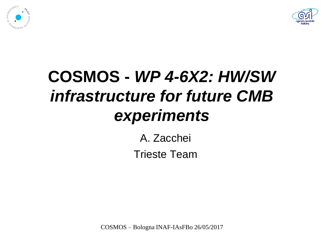



#### **COSMOS -** *WP 4-6X2: HW/SW infrastructure for future CMB experiments*

A. Zacchei Trieste Team

COSMOS – Bologna INAF-IAsFBo 26/05/2017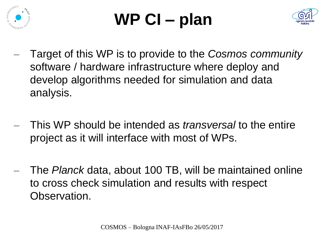

# **WP CI – plan**



- Target of this WP is to provide to the *Cosmos community*  software / hardware infrastructure where deploy and develop algorithms needed for simulation and data analysis.
- This WP should be intended as *transversal* to the entire project as it will interface with most of WPs.
- The *Planck* data, about 100 TB, will be maintained online to cross check simulation and results with respect Observation.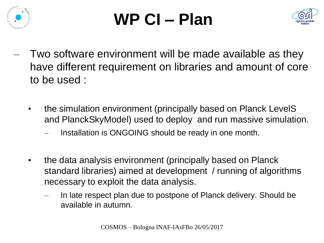

## **WP CI – Plan**



- Two software environment will be made available as they have different requirement on libraries and amount of core to be used :
	- the simulation environment (principally based on Planck LevelS and PlanckSkyModel) used to deploy and run massive simulation.
		- Installation is ONGOING should be ready in one month.
	- the data analysis environment (principally based on Planck standard libraries) aimed at development / running of algorithms necessary to exploit the data analysis.
		- In late respect plan due to postpone of Planck delivery. Should be available in autumn.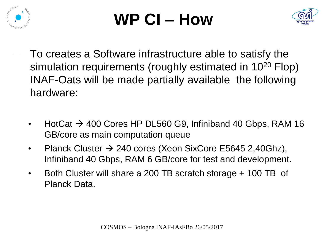

## **WP CI – How**



- To creates a Software infrastructure able to satisfy the simulation requirements (roughly estimated in 10<sup>20</sup> Flop) INAF-Oats will be made partially available the following hardware:
	- HotCat  $\rightarrow$  400 Cores HP DL560 G9, Infiniband 40 Gbps, RAM 16 GB/core as main computation queue
	- Planck Cluster  $\rightarrow$  240 cores (Xeon SixCore E5645 2,40Ghz), Infiniband 40 Gbps, RAM 6 GB/core for test and development.
	- Both Cluster will share a 200 TB scratch storage + 100 TB of Planck Data.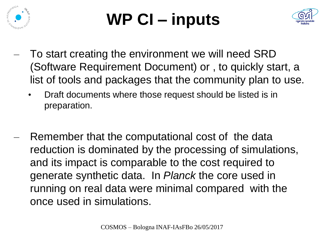

## **WP CI – inputs**



- To start creating the environment we will need SRD (Software Requirement Document) or , to quickly start, a list of tools and packages that the community plan to use.
	- Draft documents where those request should be listed is in preparation.
- Remember that the computational cost of the data reduction is dominated by the processing of simulations, and its impact is comparable to the cost required to generate synthetic data. In *Planck* the core used in running on real data were minimal compared with the once used in simulations.